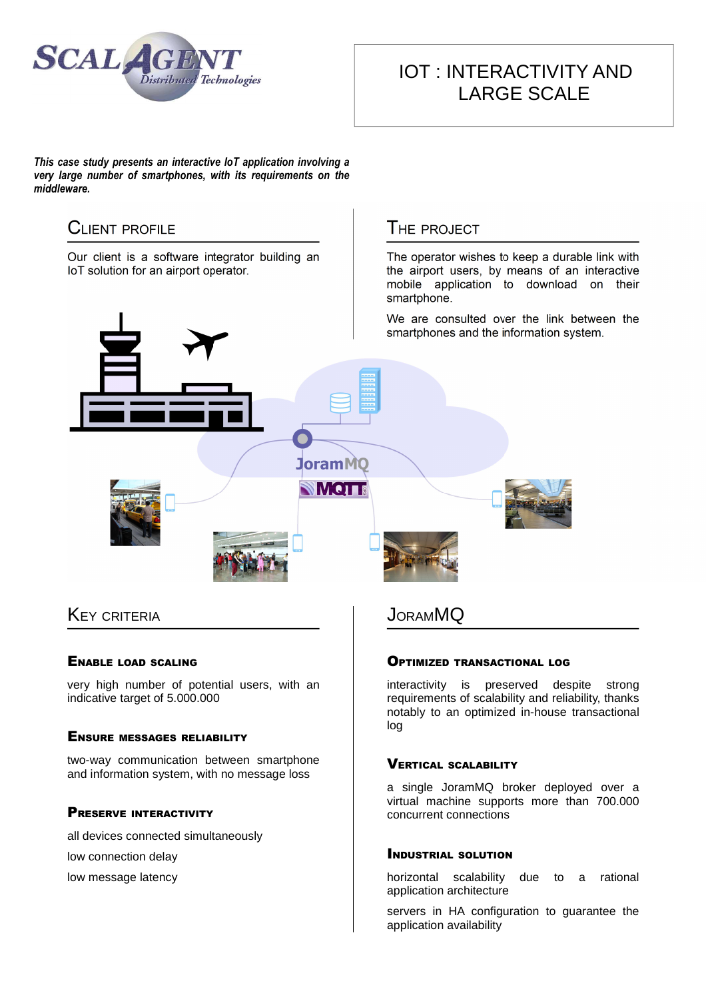

# IOT : INTERACTIVITY AND LARGE SCALE

*This case study presents an interactive IoT application involving a very large number of smartphones, with its requirements on the middleware.*



# **KEY CRITERIA**

#### ENABLE LOAD SCALING

very high number of potential users, with an indicative target of 5.000.000

#### ENSURE MESSAGES RELIABILITY

two-way communication between smartphone and information system, with no message loss

#### PRESERVE INTERACTIVITY

all devices connected simultaneously

low connection delay

low message latency

**JORAMMQ** 

#### OPTIMIZED TRANSACTIONAL LOG

interactivity is preserved despite strong requirements of scalability and reliability, thanks notably to an optimized in-house transactional log

### VERTICAL SCALABILITY

a single JoramMQ broker deployed over a virtual machine supports more than 700.000 concurrent connections

### INDUSTRIAL SOLUTION

horizontal scalability due to a rational application architecture

servers in HA configuration to guarantee the application availability